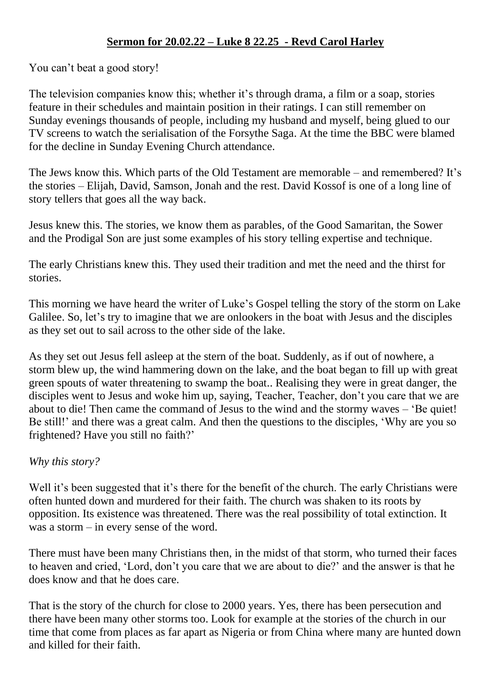## **Sermon for 20.02.22 – Luke 8 22.25 - Revd Carol Harley**

You can't beat a good story!

The television companies know this; whether it's through drama, a film or a soap, stories feature in their schedules and maintain position in their ratings. I can still remember on Sunday evenings thousands of people, including my husband and myself, being glued to our TV screens to watch the serialisation of the Forsythe Saga. At the time the BBC were blamed for the decline in Sunday Evening Church attendance.

The Jews know this. Which parts of the Old Testament are memorable – and remembered? It's the stories – Elijah, David, Samson, Jonah and the rest. David Kossof is one of a long line of story tellers that goes all the way back.

Jesus knew this. The stories, we know them as parables, of the Good Samaritan, the Sower and the Prodigal Son are just some examples of his story telling expertise and technique.

The early Christians knew this. They used their tradition and met the need and the thirst for stories.

This morning we have heard the writer of Luke's Gospel telling the story of the storm on Lake Galilee. So, let's try to imagine that we are onlookers in the boat with Jesus and the disciples as they set out to sail across to the other side of the lake.

As they set out Jesus fell asleep at the stern of the boat. Suddenly, as if out of nowhere, a storm blew up, the wind hammering down on the lake, and the boat began to fill up with great green spouts of water threatening to swamp the boat.. Realising they were in great danger, the disciples went to Jesus and woke him up, saying, Teacher, Teacher, don't you care that we are about to die! Then came the command of Jesus to the wind and the stormy waves – 'Be quiet! Be still!' and there was a great calm. And then the questions to the disciples, 'Why are you so frightened? Have you still no faith?'

## *Why this story?*

Well it's been suggested that it's there for the benefit of the church. The early Christians were often hunted down and murdered for their faith. The church was shaken to its roots by opposition. Its existence was threatened. There was the real possibility of total extinction. It was a storm – in every sense of the word.

There must have been many Christians then, in the midst of that storm, who turned their faces to heaven and cried, 'Lord, don't you care that we are about to die?' and the answer is that he does know and that he does care.

That is the story of the church for close to 2000 years. Yes, there has been persecution and there have been many other storms too. Look for example at the stories of the church in our time that come from places as far apart as Nigeria or from China where many are hunted down and killed for their faith.